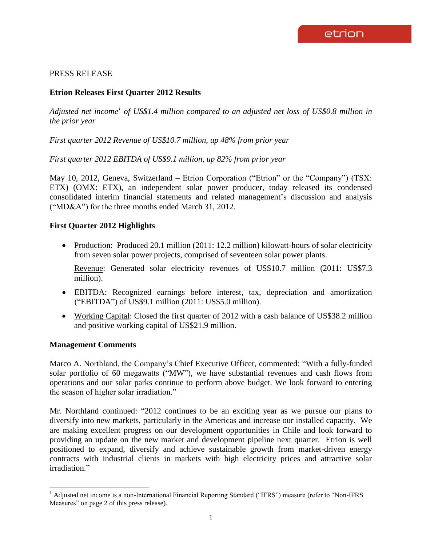## PRESS RELEASE

# **Etrion Releases First Quarter 2012 Results**

Adjusted net income<sup>1</sup> of US\$1.4 million compared to an adjusted net loss of US\$0.8 million in *the prior year*

*First quarter 2012 Revenue of US\$10.7 million, up 48% from prior year*

*First quarter 2012 EBITDA of US\$9.1 million, up 82% from prior year*

May 10, 2012, Geneva, Switzerland – Etrion Corporation ("Etrion" or the "Company") (TSX: ETX) (OMX: ETX), an independent solar power producer, today released its condensed consolidated interim financial statements and related management's discussion and analysis ("MD&A") for the three months ended March 31, 2012.

## **First Quarter 2012 Highlights**

• Production: Produced 20.1 million (2011: 12.2 million) kilowatt-hours of solar electricity from seven solar power projects, comprised of seventeen solar power plants.

Revenue: Generated solar electricity revenues of US\$10.7 million (2011: US\$7.3 million).

- EBITDA: Recognized earnings before interest, tax, depreciation and amortization ("EBITDA") of US\$9.1 million (2011: US\$5.0 million).
- Working Capital: Closed the first quarter of 2012 with a cash balance of US\$38.2 million and positive working capital of US\$21.9 million.

## **Management Comments**

 $\overline{a}$ 

Marco A. Northland, the Company's Chief Executive Officer, commented: "With a fully-funded solar portfolio of 60 megawatts ("MW"), we have substantial revenues and cash flows from operations and our solar parks continue to perform above budget. We look forward to entering the season of higher solar irradiation."

Mr. Northland continued: "2012 continues to be an exciting year as we pursue our plans to diversify into new markets, particularly in the Americas and increase our installed capacity. We are making excellent progress on our development opportunities in Chile and look forward to providing an update on the new market and development pipeline next quarter. Etrion is well positioned to expand, diversify and achieve sustainable growth from market-driven energy contracts with industrial clients in markets with high electricity prices and attractive solar irradiation."

<sup>&</sup>lt;sup>1</sup> Adjusted net income is a non-International Financial Reporting Standard ("IFRS") measure (refer to "Non-IFRS") Measures" on page 2 of this press release).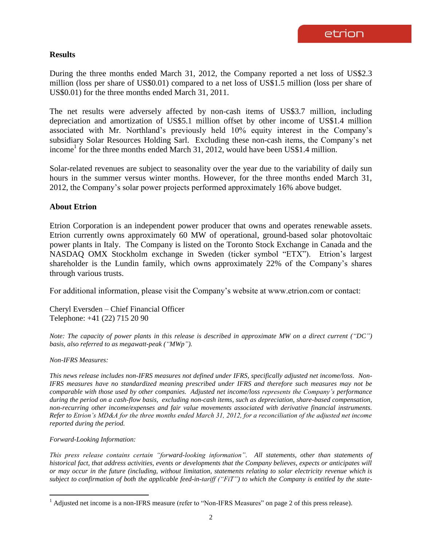## **Results**

During the three months ended March 31, 2012, the Company reported a net loss of US\$2.3 million (loss per share of US\$0.01) compared to a net loss of US\$1.5 million (loss per share of US\$0.01) for the three months ended March 31, 2011.

The net results were adversely affected by non-cash items of US\$3.7 million, including depreciation and amortization of US\$5.1 million offset by other income of US\$1.4 million associated with Mr. Northland's previously held 10% equity interest in the Company's subsidiary Solar Resources Holding Sarl. Excluding these non-cash items, the Company's net income<sup>1</sup> for the three months ended March 31, 2012, would have been US\$1.4 million.

Solar-related revenues are subject to seasonality over the year due to the variability of daily sun hours in the summer versus winter months. However, for the three months ended March 31, 2012, the Company's solar power projects performed approximately 16% above budget.

#### **About Etrion**

Etrion Corporation is an independent power producer that owns and operates renewable assets. Etrion currently owns approximately 60 MW of operational, ground-based solar photovoltaic power plants in Italy. The Company is listed on the Toronto Stock Exchange in Canada and the NASDAQ OMX Stockholm exchange in Sweden (ticker symbol "ETX"). Etrion's largest shareholder is the Lundin family, which owns approximately 22% of the Company's shares through various trusts.

For additional information, please visit the Company's website at www.etrion.com or contact:

Cheryl Eversden – Chief Financial Officer Telephone: +41 (22) 715 20 90

*Note: The capacity of power plants in this release is described in approximate MW on a direct current ("DC") basis, also referred to as megawatt-peak ("MWp").*

#### *Non-IFRS Measures:*

*This news release includes non-IFRS measures not defined under IFRS, specifically adjusted net income/loss. Non-IFRS measures have no standardized meaning prescribed under IFRS and therefore such measures may not be comparable with those used by other companies. Adjusted net income/loss represents the Company's performance during the period on a cash-flow basis, excluding non-cash items, such as depreciation, share-based compensation, non-recurring other income/expenses and fair value movements associated with derivative financial instruments. Refer to Etrion's MD&A for the three months ended March 31, 2012, for a reconciliation of the adjusted net income reported during the period.*

#### *Forward-Looking Information:*

 $\overline{a}$ 

*This press release contains certain "forward-looking information". All statements, other than statements of historical fact, that address activities, events or developments that the Company believes, expects or anticipates will or may occur in the future (including, without limitation, statements relating to solar electricity revenue which is subject to confirmation of both the applicable feed-in-tariff ("FiT") to which the Company is entitled by the state-*

 $<sup>1</sup>$  Adjusted net income is a non-IFRS measure (refer to "Non-IFRS Measures" on page 2 of this press release).</sup>